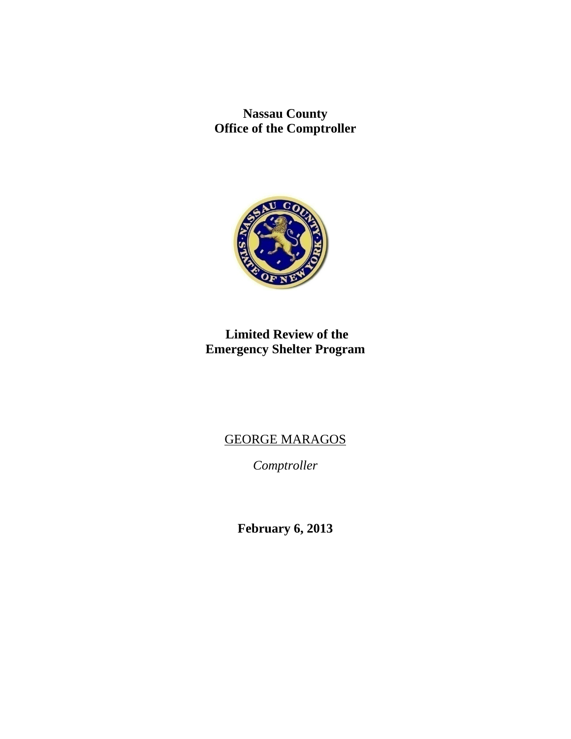**Nassau County Office of the Comptroller** 



# **Limited Review of the Emergency Shelter Program**

# GEORGE MARAGOS

*Comptroller* 

**February 6, 2013**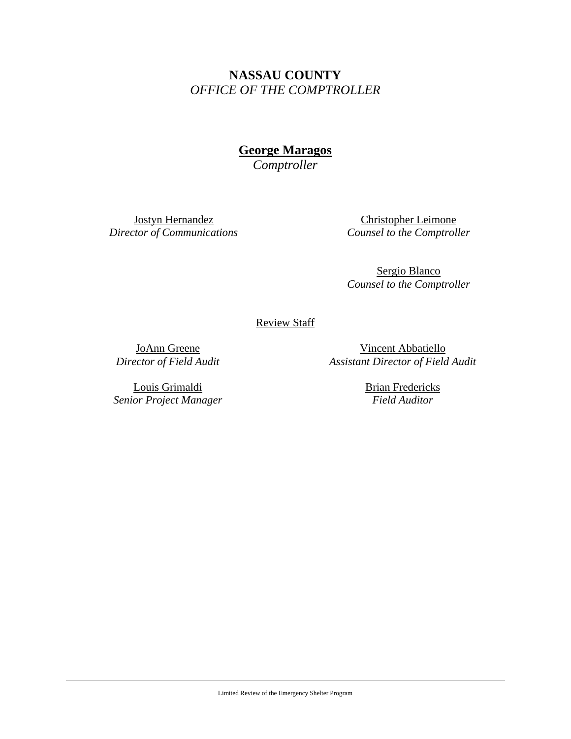# **NASSAU COUNTY**  *OFFICE OF THE COMPTROLLER*

**George Maragos** 

*Comptroller* 

Jostyn Hernandez *Director of Communications* 

Christopher Leimone *Counsel to the Comptroller*

Sergio Blanco *Counsel to the Comptroller*

## Review Staff

JoAnn Greene *Director of Field Audit* 

Louis Grimaldi *Senior Project Manager*

Vincent Abbatiello *Assistant Director of Field Audit* 

> Brian Fredericks *Field Auditor*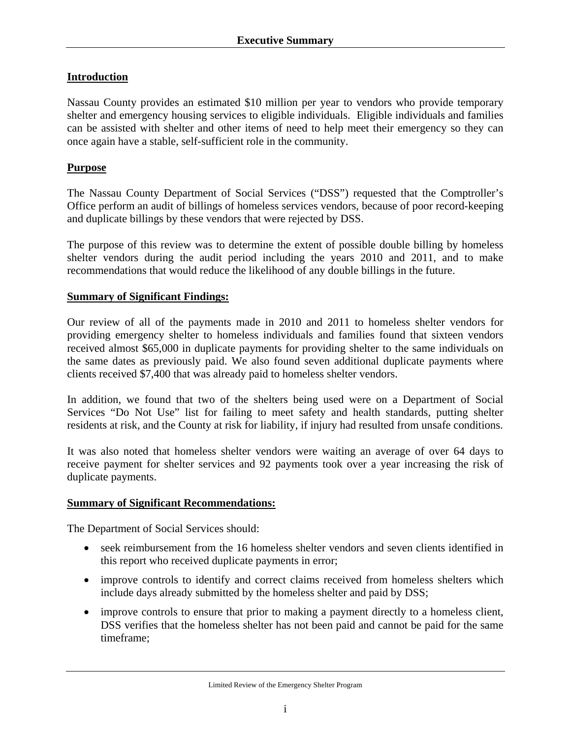## **Introduction**

Nassau County provides an estimated \$10 million per year to vendors who provide temporary shelter and emergency housing services to eligible individuals. Eligible individuals and families can be assisted with shelter and other items of need to help meet their emergency so they can once again have a stable, self-sufficient role in the community.

### **Purpose**

The Nassau County Department of Social Services ("DSS") requested that the Comptroller's Office perform an audit of billings of homeless services vendors, because of poor record-keeping and duplicate billings by these vendors that were rejected by DSS.

The purpose of this review was to determine the extent of possible double billing by homeless shelter vendors during the audit period including the years 2010 and 2011, and to make recommendations that would reduce the likelihood of any double billings in the future.

#### **Summary of Significant Findings:**

Our review of all of the payments made in 2010 and 2011 to homeless shelter vendors for providing emergency shelter to homeless individuals and families found that sixteen vendors received almost \$65,000 in duplicate payments for providing shelter to the same individuals on the same dates as previously paid. We also found seven additional duplicate payments where clients received \$7,400 that was already paid to homeless shelter vendors.

In addition, we found that two of the shelters being used were on a Department of Social Services "Do Not Use" list for failing to meet safety and health standards, putting shelter residents at risk, and the County at risk for liability, if injury had resulted from unsafe conditions.

It was also noted that homeless shelter vendors were waiting an average of over 64 days to receive payment for shelter services and 92 payments took over a year increasing the risk of duplicate payments.

#### **Summary of Significant Recommendations:**

The Department of Social Services should:

- seek reimbursement from the 16 homeless shelter vendors and seven clients identified in this report who received duplicate payments in error;
- improve controls to identify and correct claims received from homeless shelters which include days already submitted by the homeless shelter and paid by DSS;
- improve controls to ensure that prior to making a payment directly to a homeless client, DSS verifies that the homeless shelter has not been paid and cannot be paid for the same timeframe;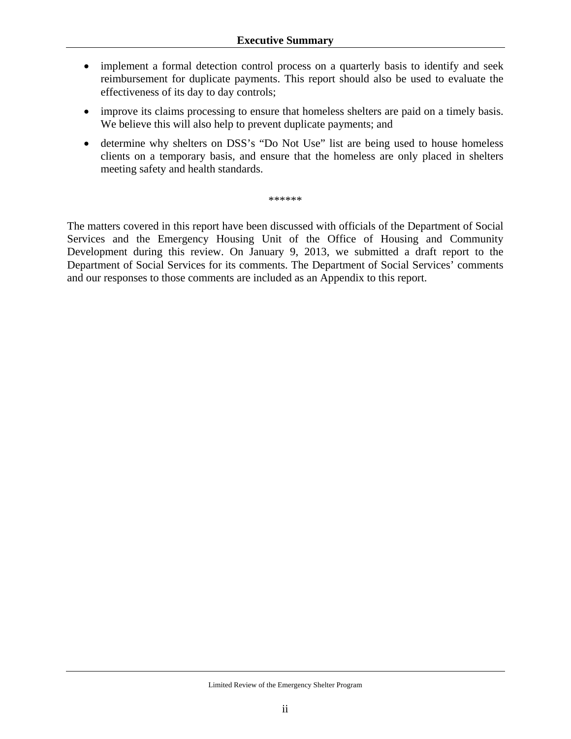- implement a formal detection control process on a quarterly basis to identify and seek reimbursement for duplicate payments. This report should also be used to evaluate the effectiveness of its day to day controls;
- improve its claims processing to ensure that homeless shelters are paid on a timely basis. We believe this will also help to prevent duplicate payments; and
- determine why shelters on DSS's "Do Not Use" list are being used to house homeless clients on a temporary basis, and ensure that the homeless are only placed in shelters meeting safety and health standards.

\*\*\*\*\*\*

The matters covered in this report have been discussed with officials of the Department of Social Services and the Emergency Housing Unit of the Office of Housing and Community Development during this review. On January 9, 2013, we submitted a draft report to the Department of Social Services for its comments. The Department of Social Services' comments and our responses to those comments are included as an Appendix to this report.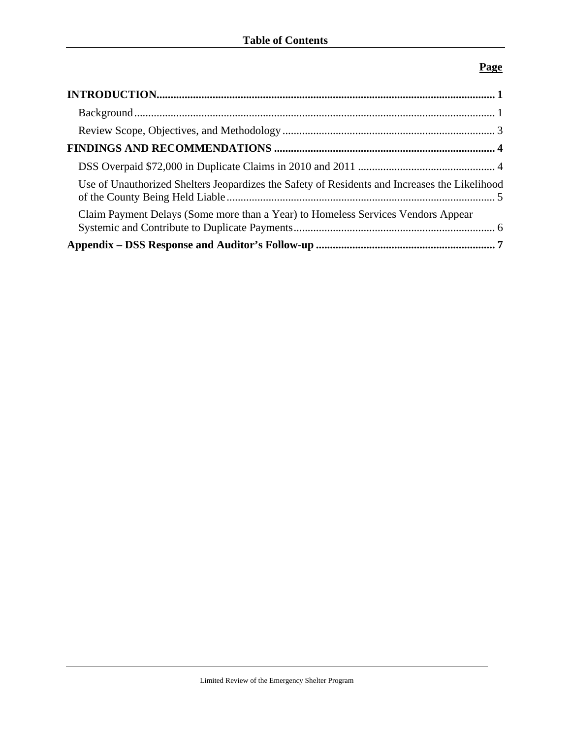## **Page**

| Use of Unauthorized Shelters Jeopardizes the Safety of Residents and Increases the Likelihood |  |
|-----------------------------------------------------------------------------------------------|--|
| Claim Payment Delays (Some more than a Year) to Homeless Services Vendors Appear              |  |
|                                                                                               |  |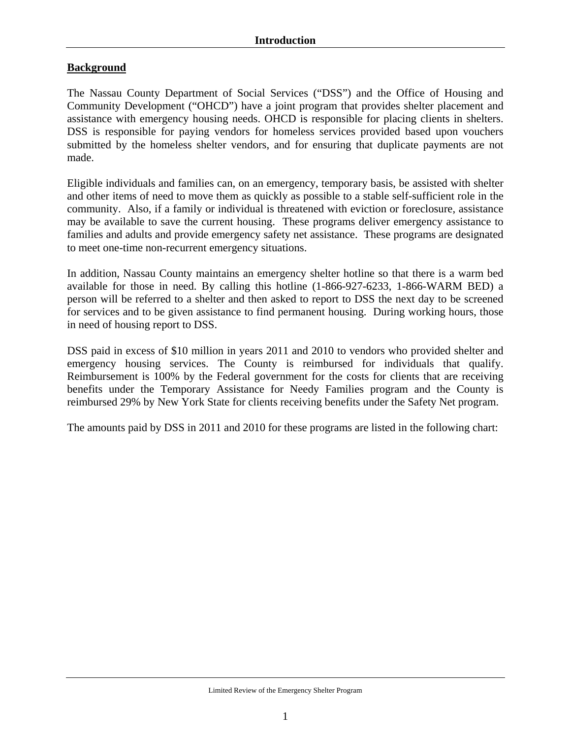## **Background**

The Nassau County Department of Social Services ("DSS") and the Office of Housing and Community Development ("OHCD") have a joint program that provides shelter placement and assistance with emergency housing needs. OHCD is responsible for placing clients in shelters. DSS is responsible for paying vendors for homeless services provided based upon vouchers submitted by the homeless shelter vendors, and for ensuring that duplicate payments are not made.

Eligible individuals and families can, on an emergency, temporary basis, be assisted with shelter and other items of need to move them as quickly as possible to a stable self-sufficient role in the community. Also, if a family or individual is threatened with eviction or foreclosure, assistance may be available to save the current housing. These programs deliver emergency assistance to families and adults and provide emergency safety net assistance. These programs are designated to meet one-time non-recurrent emergency situations.

In addition, Nassau County maintains an emergency shelter hotline so that there is a warm bed available for those in need. By calling this hotline (1-866-927-6233, 1-866-WARM BED) a person will be referred to a shelter and then asked to report to DSS the next day to be screened for services and to be given assistance to find permanent housing. During working hours, those in need of housing report to DSS.

DSS paid in excess of \$10 million in years 2011 and 2010 to vendors who provided shelter and emergency housing services. The County is reimbursed for individuals that qualify. Reimbursement is 100% by the Federal government for the costs for clients that are receiving benefits under the Temporary Assistance for Needy Families program and the County is reimbursed 29% by New York State for clients receiving benefits under the Safety Net program.

The amounts paid by DSS in 2011 and 2010 for these programs are listed in the following chart: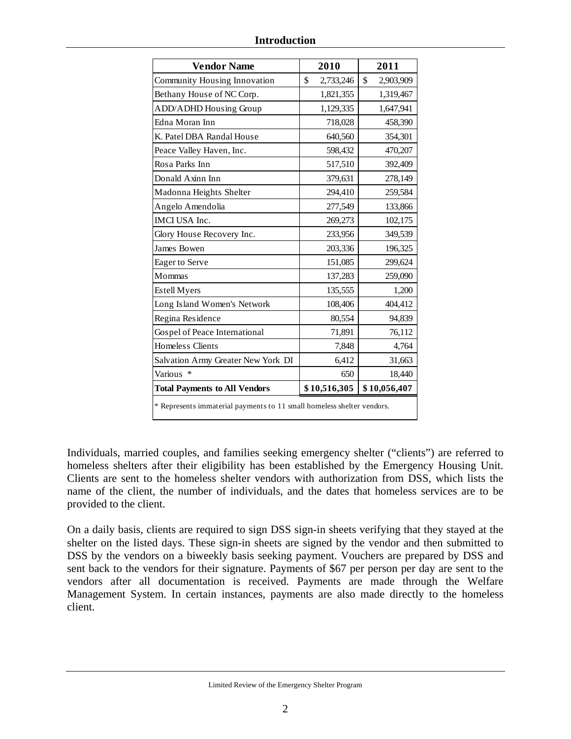| <b>Vendor Name</b>                                                     | 2010            | 2011            |  |
|------------------------------------------------------------------------|-----------------|-----------------|--|
| Community Housing Innovation                                           | \$<br>2,733,246 | \$<br>2,903,909 |  |
| Bethany House of NC Corp.                                              | 1,821,355       | 1,319,467       |  |
| <b>ADD/ADHD Housing Group</b>                                          | 1,129,335       | 1,647,941       |  |
| Edna Moran Inn                                                         | 718,028         | 458,390         |  |
| K. Patel DBA Randal House                                              | 640,560         | 354,301         |  |
| Peace Valley Haven, Inc.                                               | 598,432         | 470,207         |  |
| Rosa Parks Inn                                                         | 517,510         | 392,409         |  |
| Donald Axinn Inn                                                       | 379,631         | 278,149         |  |
| Madonna Heights Shelter                                                | 294,410         | 259,584         |  |
| Angelo Amendolia                                                       | 277,549         | 133,866         |  |
| IMCI USA Inc.                                                          | 269,273         | 102,175         |  |
| Glory House Recovery Inc.                                              | 233,956         | 349,539         |  |
| James Bowen                                                            | 203,336         | 196,325         |  |
| Eager to Serve                                                         | 151,085         | 299,624         |  |
| Mommas                                                                 | 137,283         | 259,090         |  |
| Estell Myers                                                           | 135,555         | 1,200           |  |
| Long Island Women's Network                                            | 108,406         | 404,412         |  |
| Regina Residence                                                       | 80,554          | 94,839          |  |
| Gospel of Peace International                                          | 71,891          | 76,112          |  |
| Homeless Clients                                                       | 7,848           | 4,764           |  |
| Salvation Army Greater New York DI                                     | 6,412           | 31,663          |  |
| Various<br>∗                                                           | 650             | 18,440          |  |
| <b>Total Payments to All Vendors</b>                                   | \$10,516,305    | \$10,056,407    |  |
| * Represents immaterial payments to 11 small homeless shelter vendors. |                 |                 |  |

Individuals, married couples, and families seeking emergency shelter ("clients") are referred to homeless shelters after their eligibility has been established by the Emergency Housing Unit. Clients are sent to the homeless shelter vendors with authorization from DSS, which lists the name of the client, the number of individuals, and the dates that homeless services are to be provided to the client.

On a daily basis, clients are required to sign DSS sign-in sheets verifying that they stayed at the shelter on the listed days. These sign-in sheets are signed by the vendor and then submitted to DSS by the vendors on a biweekly basis seeking payment. Vouchers are prepared by DSS and sent back to the vendors for their signature. Payments of \$67 per person per day are sent to the vendors after all documentation is received. Payments are made through the Welfare Management System. In certain instances, payments are also made directly to the homeless client.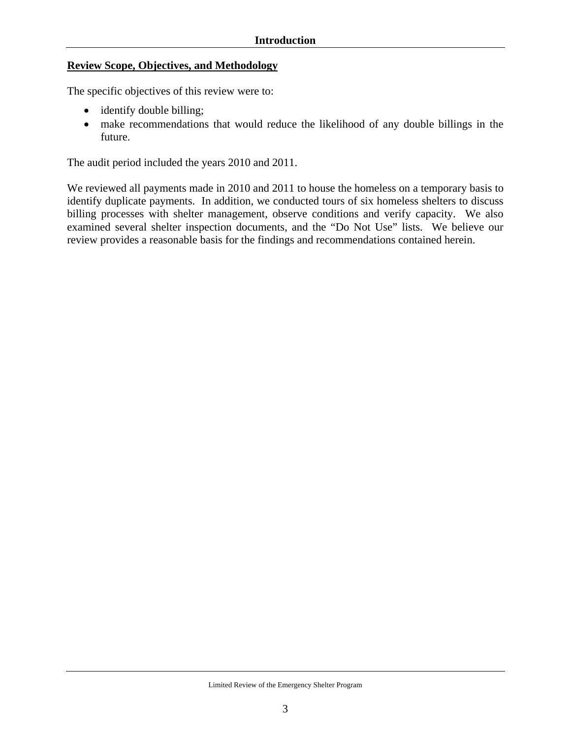#### **Review Scope, Objectives, and Methodology**

The specific objectives of this review were to:

- identify double billing;
- make recommendations that would reduce the likelihood of any double billings in the future.

The audit period included the years 2010 and 2011.

We reviewed all payments made in 2010 and 2011 to house the homeless on a temporary basis to identify duplicate payments. In addition, we conducted tours of six homeless shelters to discuss billing processes with shelter management, observe conditions and verify capacity. We also examined several shelter inspection documents, and the "Do Not Use" lists. We believe our review provides a reasonable basis for the findings and recommendations contained herein.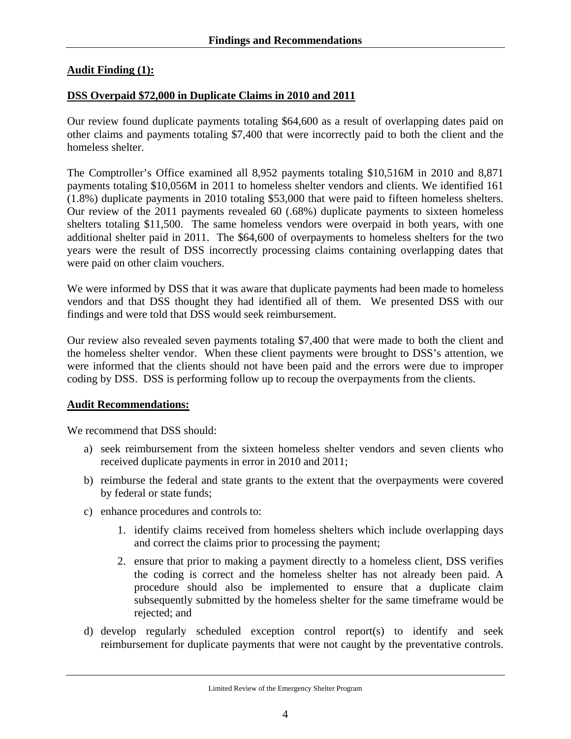## **Audit Finding (1):**

## **DSS Overpaid \$72,000 in Duplicate Claims in 2010 and 2011**

Our review found duplicate payments totaling \$64,600 as a result of overlapping dates paid on other claims and payments totaling \$7,400 that were incorrectly paid to both the client and the homeless shelter.

The Comptroller's Office examined all 8,952 payments totaling \$10,516M in 2010 and 8,871 payments totaling \$10,056M in 2011 to homeless shelter vendors and clients. We identified 161 (1.8%) duplicate payments in 2010 totaling \$53,000 that were paid to fifteen homeless shelters. Our review of the 2011 payments revealed 60 (.68%) duplicate payments to sixteen homeless shelters totaling \$11,500. The same homeless vendors were overpaid in both years, with one additional shelter paid in 2011. The \$64,600 of overpayments to homeless shelters for the two years were the result of DSS incorrectly processing claims containing overlapping dates that were paid on other claim vouchers.

We were informed by DSS that it was aware that duplicate payments had been made to homeless vendors and that DSS thought they had identified all of them. We presented DSS with our findings and were told that DSS would seek reimbursement.

Our review also revealed seven payments totaling \$7,400 that were made to both the client and the homeless shelter vendor. When these client payments were brought to DSS's attention, we were informed that the clients should not have been paid and the errors were due to improper coding by DSS. DSS is performing follow up to recoup the overpayments from the clients.

## **Audit Recommendations:**

We recommend that DSS should:

- a) seek reimbursement from the sixteen homeless shelter vendors and seven clients who received duplicate payments in error in 2010 and 2011;
- b) reimburse the federal and state grants to the extent that the overpayments were covered by federal or state funds;
- c) enhance procedures and controls to:
	- 1. identify claims received from homeless shelters which include overlapping days and correct the claims prior to processing the payment;
	- 2. ensure that prior to making a payment directly to a homeless client, DSS verifies the coding is correct and the homeless shelter has not already been paid. A procedure should also be implemented to ensure that a duplicate claim subsequently submitted by the homeless shelter for the same timeframe would be rejected; and
- d) develop regularly scheduled exception control report(s) to identify and seek reimbursement for duplicate payments that were not caught by the preventative controls.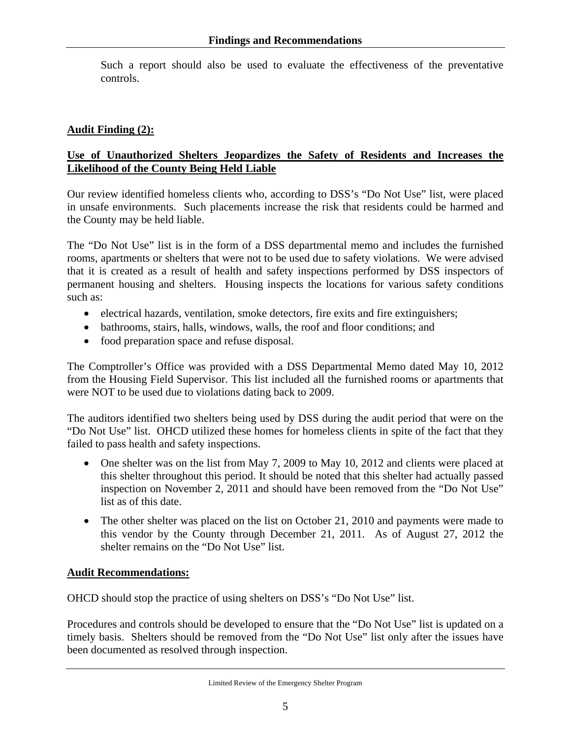Such a report should also be used to evaluate the effectiveness of the preventative controls.

## **Audit Finding (2):**

## **Use of Unauthorized Shelters Jeopardizes the Safety of Residents and Increases the Likelihood of the County Being Held Liable**

Our review identified homeless clients who, according to DSS's "Do Not Use" list, were placed in unsafe environments. Such placements increase the risk that residents could be harmed and the County may be held liable.

The "Do Not Use" list is in the form of a DSS departmental memo and includes the furnished rooms, apartments or shelters that were not to be used due to safety violations. We were advised that it is created as a result of health and safety inspections performed by DSS inspectors of permanent housing and shelters. Housing inspects the locations for various safety conditions such as:

- electrical hazards, ventilation, smoke detectors, fire exits and fire extinguishers;
- bathrooms, stairs, halls, windows, walls, the roof and floor conditions; and
- food preparation space and refuse disposal.

The Comptroller's Office was provided with a DSS Departmental Memo dated May 10, 2012 from the Housing Field Supervisor. This list included all the furnished rooms or apartments that were NOT to be used due to violations dating back to 2009.

The auditors identified two shelters being used by DSS during the audit period that were on the "Do Not Use" list. OHCD utilized these homes for homeless clients in spite of the fact that they failed to pass health and safety inspections.

- One shelter was on the list from May 7, 2009 to May 10, 2012 and clients were placed at this shelter throughout this period. It should be noted that this shelter had actually passed inspection on November 2, 2011 and should have been removed from the "Do Not Use" list as of this date.
- The other shelter was placed on the list on October 21, 2010 and payments were made to this vendor by the County through December 21, 2011. As of August 27, 2012 the shelter remains on the "Do Not Use" list.

## **Audit Recommendations:**

OHCD should stop the practice of using shelters on DSS's "Do Not Use" list.

Procedures and controls should be developed to ensure that the "Do Not Use" list is updated on a timely basis. Shelters should be removed from the "Do Not Use" list only after the issues have been documented as resolved through inspection.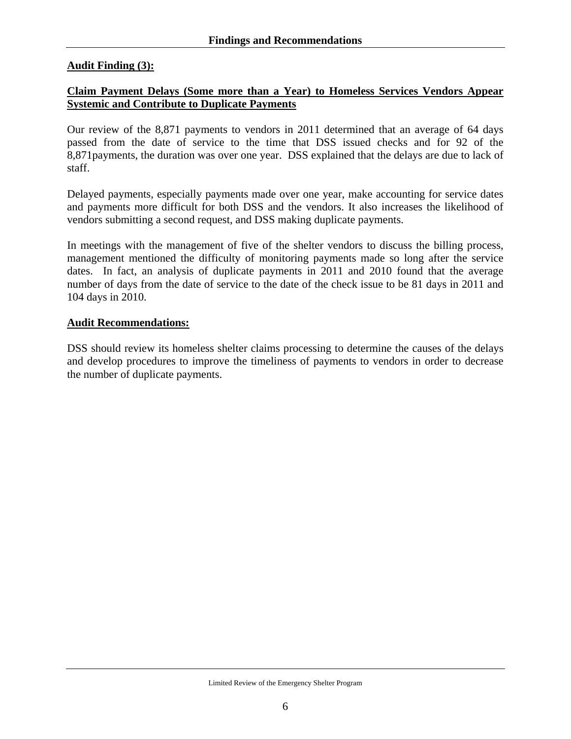## **Audit Finding (3):**

## **Claim Payment Delays (Some more than a Year) to Homeless Services Vendors Appear Systemic and Contribute to Duplicate Payments**

Our review of the 8,871 payments to vendors in 2011 determined that an average of 64 days passed from the date of service to the time that DSS issued checks and for 92 of the 8,871payments, the duration was over one year. DSS explained that the delays are due to lack of staff.

Delayed payments, especially payments made over one year, make accounting for service dates and payments more difficult for both DSS and the vendors. It also increases the likelihood of vendors submitting a second request, and DSS making duplicate payments.

In meetings with the management of five of the shelter vendors to discuss the billing process, management mentioned the difficulty of monitoring payments made so long after the service dates. In fact, an analysis of duplicate payments in 2011 and 2010 found that the average number of days from the date of service to the date of the check issue to be 81 days in 2011 and 104 days in 2010.

#### **Audit Recommendations:**

DSS should review its homeless shelter claims processing to determine the causes of the delays and develop procedures to improve the timeliness of payments to vendors in order to decrease the number of duplicate payments.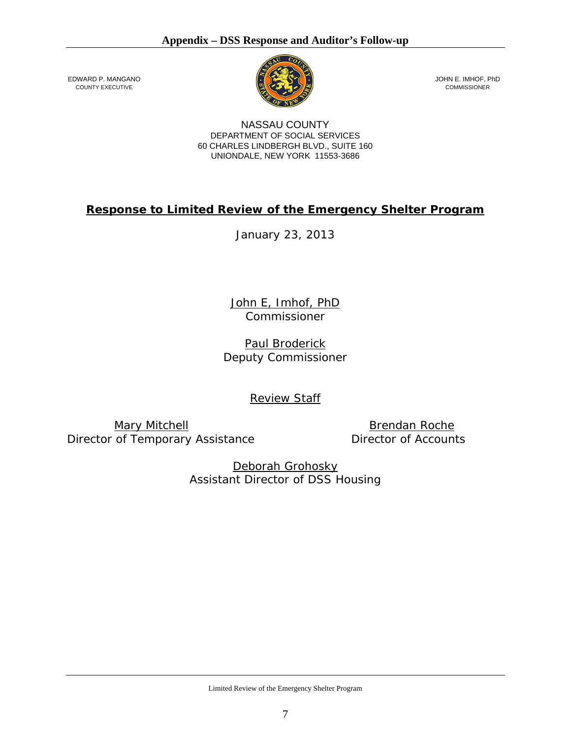

JOHN E. IMHOF, PhD COMMISSIONER

NASSAU COUNTY DEPARTMENT OF SOCIAL SERVICES 60 CHARLES LINDBERGH BLVD., SUITE 160 UNIONDALE, NEW YORK 11553-3686

# **Response to Limited Review of the Emergency Shelter Program**

January 23, 2013

John E, Imhof, PhD *Commissioner* 

Paul Broderick *Deputy Commissioner* 

Review Staff

Mary Mitchell **Brendan Roche** *Director of Temporary Assistance Director of Accounts* 

EDWARD P. MANGANO COUNTY EXECUTIVE

Deborah Grohosky *Assistant Director of DSS Housing* 

Limited Review of the Emergency Shelter Program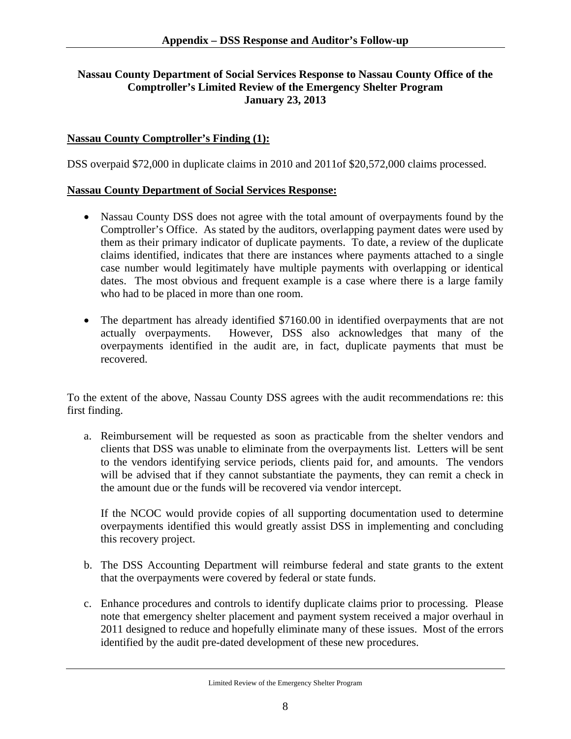## **Nassau County Department of Social Services Response to Nassau County Office of the Comptroller's Limited Review of the Emergency Shelter Program January 23, 2013**

### **Nassau County Comptroller's Finding (1):**

DSS overpaid \$72,000 in duplicate claims in 2010 and 2011of \$20,572,000 claims processed.

#### **Nassau County Department of Social Services Response:**

- Nassau County DSS does not agree with the total amount of overpayments found by the Comptroller's Office. As stated by the auditors, overlapping payment dates were used by them as their primary indicator of duplicate payments. To date, a review of the duplicate claims identified, indicates that there are instances where payments attached to a single case number would legitimately have multiple payments with overlapping or identical dates. The most obvious and frequent example is a case where there is a large family who had to be placed in more than one room.
- The department has already identified \$7160.00 in identified overpayments that are not actually overpayments. However, DSS also acknowledges that many of the overpayments identified in the audit are, in fact, duplicate payments that must be recovered.

To the extent of the above, Nassau County DSS agrees with the audit recommendations re: this first finding.

a. Reimbursement will be requested as soon as practicable from the shelter vendors and clients that DSS was unable to eliminate from the overpayments list. Letters will be sent to the vendors identifying service periods, clients paid for, and amounts. The vendors will be advised that if they cannot substantiate the payments, they can remit a check in the amount due or the funds will be recovered via vendor intercept.

If the NCOC would provide copies of all supporting documentation used to determine overpayments identified this would greatly assist DSS in implementing and concluding this recovery project.

- b. The DSS Accounting Department will reimburse federal and state grants to the extent that the overpayments were covered by federal or state funds.
- c. Enhance procedures and controls to identify duplicate claims prior to processing. Please note that emergency shelter placement and payment system received a major overhaul in 2011 designed to reduce and hopefully eliminate many of these issues. Most of the errors identified by the audit pre-dated development of these new procedures.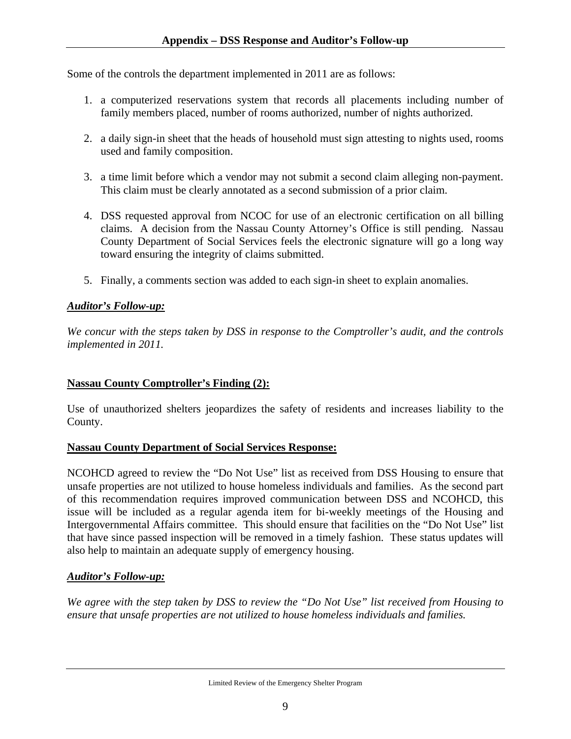Some of the controls the department implemented in 2011 are as follows:

- 1. a computerized reservations system that records all placements including number of family members placed, number of rooms authorized, number of nights authorized.
- 2. a daily sign-in sheet that the heads of household must sign attesting to nights used, rooms used and family composition.
- 3. a time limit before which a vendor may not submit a second claim alleging non-payment. This claim must be clearly annotated as a second submission of a prior claim.
- 4. DSS requested approval from NCOC for use of an electronic certification on all billing claims. A decision from the Nassau County Attorney's Office is still pending. Nassau County Department of Social Services feels the electronic signature will go a long way toward ensuring the integrity of claims submitted.
- 5. Finally, a comments section was added to each sign-in sheet to explain anomalies.

## *Auditor's Follow-up:*

*We concur with the steps taken by DSS in response to the Comptroller's audit, and the controls implemented in 2011.* 

## **Nassau County Comptroller's Finding (2):**

Use of unauthorized shelters jeopardizes the safety of residents and increases liability to the County.

## **Nassau County Department of Social Services Response:**

NCOHCD agreed to review the "Do Not Use" list as received from DSS Housing to ensure that unsafe properties are not utilized to house homeless individuals and families. As the second part of this recommendation requires improved communication between DSS and NCOHCD, this issue will be included as a regular agenda item for bi-weekly meetings of the Housing and Intergovernmental Affairs committee. This should ensure that facilities on the "Do Not Use" list that have since passed inspection will be removed in a timely fashion. These status updates will also help to maintain an adequate supply of emergency housing.

## *Auditor's Follow-up:*

*We agree with the step taken by DSS to review the "Do Not Use" list received from Housing to ensure that unsafe properties are not utilized to house homeless individuals and families.*